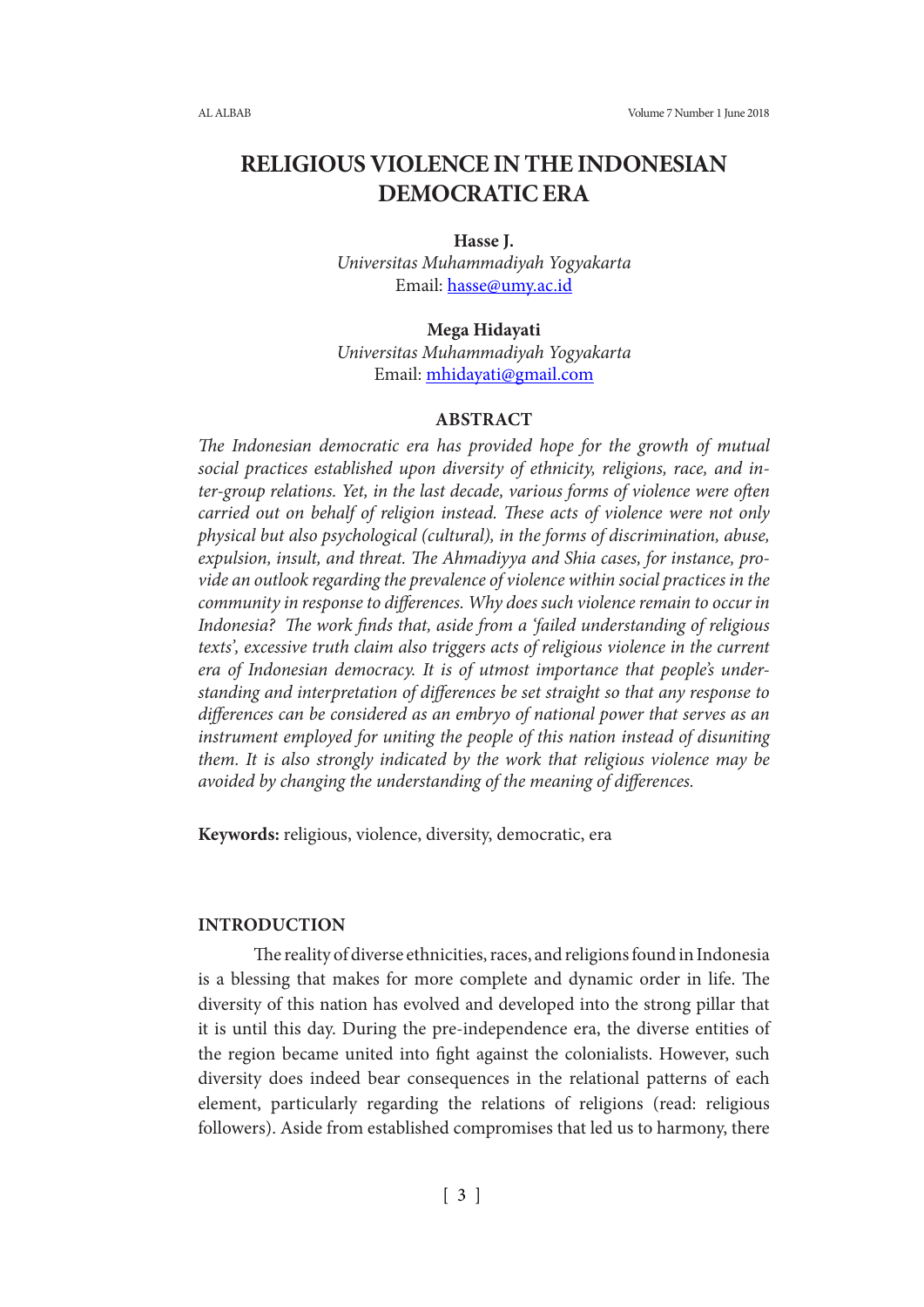# **RELIGIOUS VIOLENCE IN THE INDONESIAN DEMOCRATIC ERA**

#### **Hasse J.**

*Universitas Muhammadiyah Yogyakarta* Email: hasse@umy.ac.id

#### **Mega Hidayati**

*Universitas Muhammadiyah Yogyakarta* Email: mhidayati@gmail.com

## **ABSTRACT**

*The Indonesian democratic era has provided hope for the growth of mutual social practices established upon diversity of ethnicity, religions, race, and inter-group relations. Yet, in the last decade, various forms of violence were often carried out on behalf of religion instead. These acts of violence were not only physical but also psychological (cultural), in the forms of discrimination, abuse, expulsion, insult, and threat. The Ahmadiyya and Shia cases, for instance, provide an outlook regarding the prevalence of violence within social practices in the community in response to differences. Why does such violence remain to occur in Indonesia? The work finds that, aside from a 'failed understanding of religious texts', excessive truth claim also triggers acts of religious violence in the current era of Indonesian democracy. It is of utmost importance that people's understanding and interpretation of differences be set straight so that any response to differences can be considered as an embryo of national power that serves as an instrument employed for uniting the people of this nation instead of disuniting them. It is also strongly indicated by the work that religious violence may be avoided by changing the understanding of the meaning of differences.*

**Keywords:** religious, violence, diversity, democratic, era

## **INTRODUCTION**

The reality of diverse ethnicities, races, and religions found in Indonesia is a blessing that makes for more complete and dynamic order in life. The diversity of this nation has evolved and developed into the strong pillar that it is until this day. During the pre-independence era, the diverse entities of the region became united into fight against the colonialists. However, such diversity does indeed bear consequences in the relational patterns of each element, particularly regarding the relations of religions (read: religious followers). Aside from established compromises that led us to harmony, there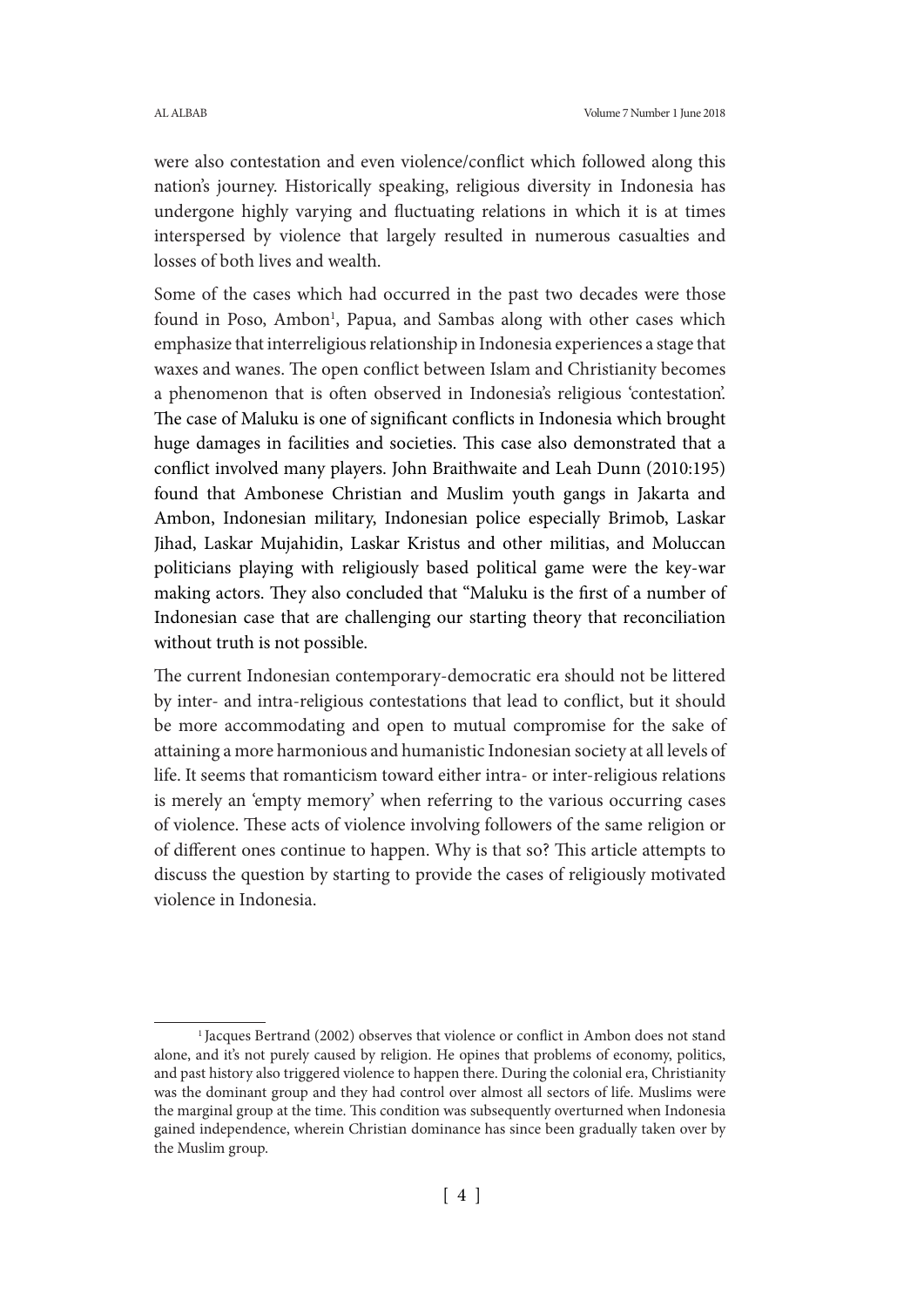were also contestation and even violence/conflict which followed along this nation's journey. Historically speaking, religious diversity in Indonesia has undergone highly varying and fluctuating relations in which it is at times interspersed by violence that largely resulted in numerous casualties and losses of both lives and wealth.

Some of the cases which had occurred in the past two decades were those found in Poso, Ambon<sup>1</sup>, Papua, and Sambas along with other cases which emphasize that interreligious relationship in Indonesia experiences a stage that waxes and wanes. The open conflict between Islam and Christianity becomes a phenomenon that is often observed in Indonesia's religious 'contestation'. The case of Maluku is one of significant conflicts in Indonesia which brought huge damages in facilities and societies. This case also demonstrated that a conflict involved many players. John Braithwaite and Leah Dunn (2010:195) found that Ambonese Christian and Muslim youth gangs in Jakarta and Ambon, Indonesian military, Indonesian police especially Brimob, Laskar Jihad, Laskar Mujahidin, Laskar Kristus and other militias, and Moluccan politicians playing with religiously based political game were the key-war making actors. They also concluded that "Maluku is the first of a number of Indonesian case that are challenging our starting theory that reconciliation without truth is not possible.

The current Indonesian contemporary-democratic era should not be littered by inter- and intra-religious contestations that lead to conflict, but it should be more accommodating and open to mutual compromise for the sake of attaining a more harmonious and humanistic Indonesian society at all levels of life. It seems that romanticism toward either intra- or inter-religious relations is merely an 'empty memory' when referring to the various occurring cases of violence. These acts of violence involving followers of the same religion or of different ones continue to happen. Why is that so? This article attempts to discuss the question by starting to provide the cases of religiously motivated violence in Indonesia.

<sup>&</sup>lt;sup>1</sup> Jacques Bertrand (2002) observes that violence or conflict in Ambon does not stand alone, and it's not purely caused by religion. He opines that problems of economy, politics, and past history also triggered violence to happen there. During the colonial era, Christianity was the dominant group and they had control over almost all sectors of life. Muslims were the marginal group at the time. This condition was subsequently overturned when Indonesia gained independence, wherein Christian dominance has since been gradually taken over by the Muslim group.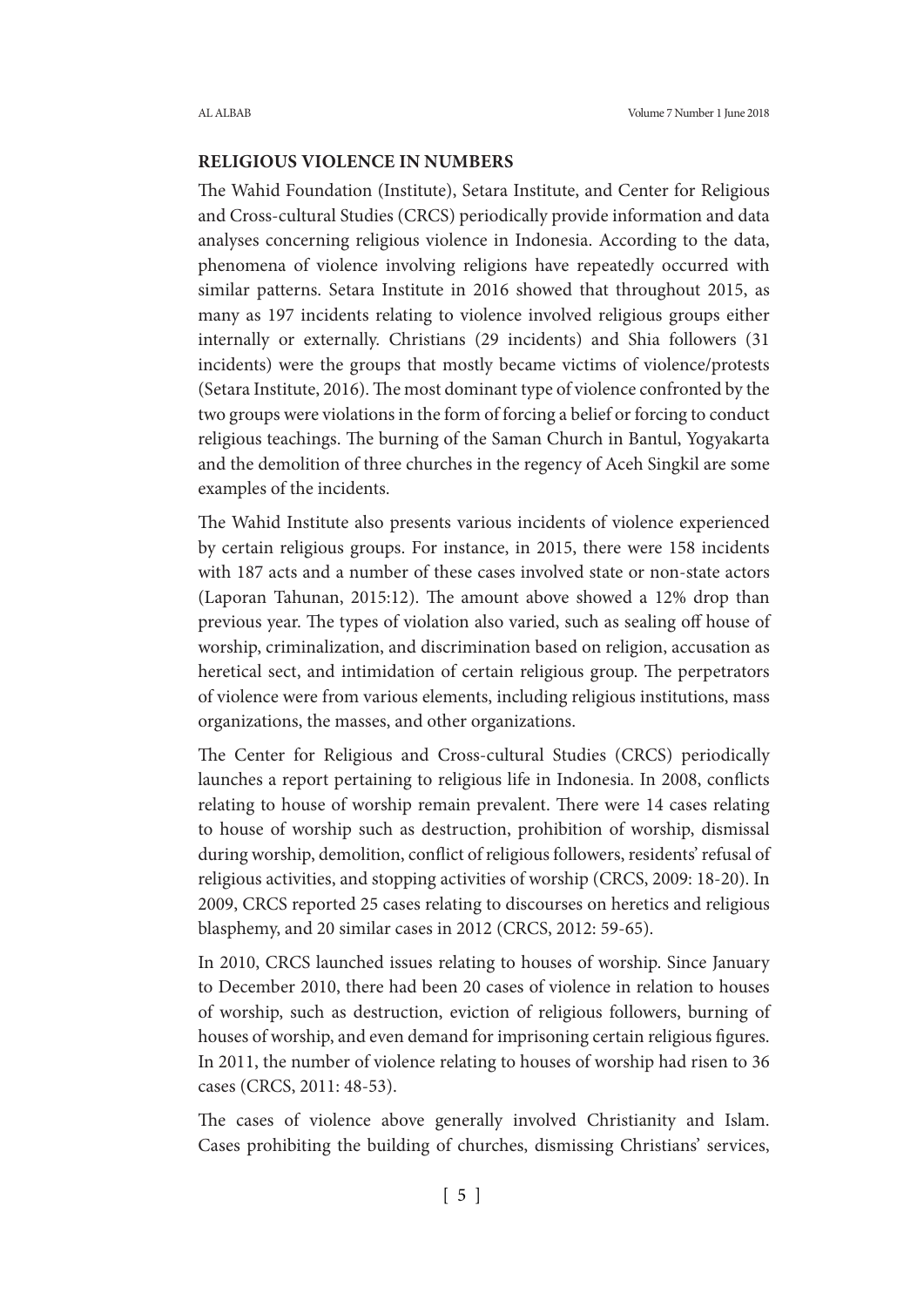# **RELIGIOUS VIOLENCE IN NUMBERS**

The Wahid Foundation (Institute), Setara Institute, and Center for Religious and Cross-cultural Studies (CRCS) periodically provide information and data analyses concerning religious violence in Indonesia. According to the data, phenomena of violence involving religions have repeatedly occurred with similar patterns. Setara Institute in 2016 showed that throughout 2015, as many as 197 incidents relating to violence involved religious groups either internally or externally. Christians (29 incidents) and Shia followers (31 incidents) were the groups that mostly became victims of violence/protests (Setara Institute, 2016). The most dominant type of violence confronted by the two groups were violations in the form of forcing a belief or forcing to conduct religious teachings. The burning of the Saman Church in Bantul, Yogyakarta and the demolition of three churches in the regency of Aceh Singkil are some examples of the incidents.

The Wahid Institute also presents various incidents of violence experienced by certain religious groups. For instance, in 2015, there were 158 incidents with 187 acts and a number of these cases involved state or non-state actors (Laporan Tahunan, 2015:12). The amount above showed a 12% drop than previous year. The types of violation also varied, such as sealing off house of worship, criminalization, and discrimination based on religion, accusation as heretical sect, and intimidation of certain religious group. The perpetrators of violence were from various elements, including religious institutions, mass organizations, the masses, and other organizations.

The Center for Religious and Cross-cultural Studies (CRCS) periodically launches a report pertaining to religious life in Indonesia. In 2008, conflicts relating to house of worship remain prevalent. There were 14 cases relating to house of worship such as destruction, prohibition of worship, dismissal during worship, demolition, conflict of religious followers, residents' refusal of religious activities, and stopping activities of worship (CRCS, 2009: 18-20). In 2009, CRCS reported 25 cases relating to discourses on heretics and religious blasphemy, and 20 similar cases in 2012 (CRCS, 2012: 59-65).

In 2010, CRCS launched issues relating to houses of worship. Since January to December 2010, there had been 20 cases of violence in relation to houses of worship, such as destruction, eviction of religious followers, burning of houses of worship, and even demand for imprisoning certain religious figures. In 2011, the number of violence relating to houses of worship had risen to 36 cases (CRCS, 2011: 48-53).

The cases of violence above generally involved Christianity and Islam. Cases prohibiting the building of churches, dismissing Christians' services,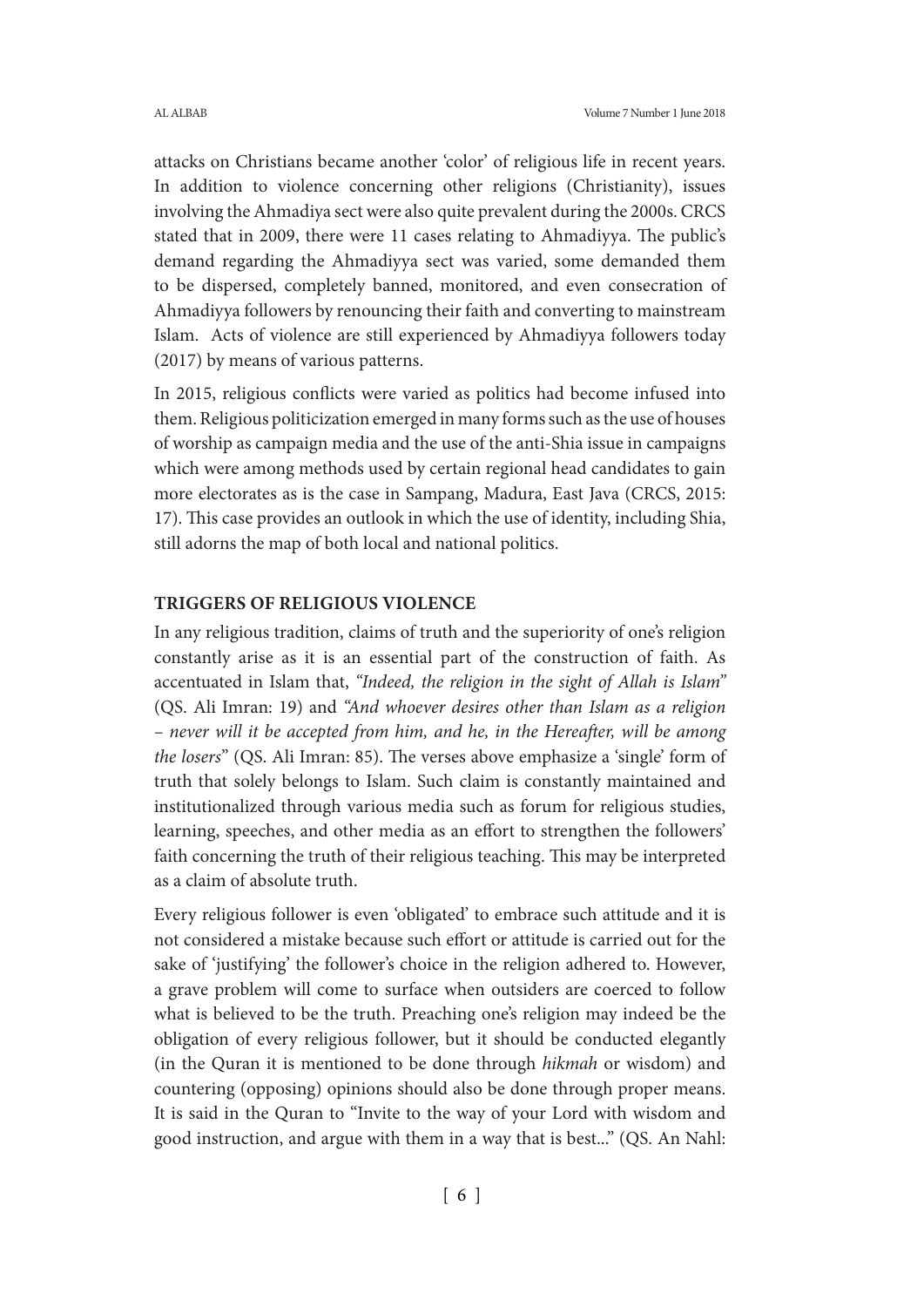attacks on Christians became another 'color' of religious life in recent years. In addition to violence concerning other religions (Christianity), issues involving the Ahmadiya sect were also quite prevalent during the 2000s. CRCS stated that in 2009, there were 11 cases relating to Ahmadiyya. The public's demand regarding the Ahmadiyya sect was varied, some demanded them to be dispersed, completely banned, monitored, and even consecration of Ahmadiyya followers by renouncing their faith and converting to mainstream Islam. Acts of violence are still experienced by Ahmadiyya followers today (2017) by means of various patterns.

In 2015, religious conflicts were varied as politics had become infused into them. Religious politicization emerged in many forms such as the use of houses of worship as campaign media and the use of the anti-Shia issue in campaigns which were among methods used by certain regional head candidates to gain more electorates as is the case in Sampang, Madura, East Java (CRCS, 2015: 17). This case provides an outlook in which the use of identity, including Shia, still adorns the map of both local and national politics.

# **TRIGGERS OF RELIGIOUS VIOLENCE**

In any religious tradition, claims of truth and the superiority of one's religion constantly arise as it is an essential part of the construction of faith. As accentuated in Islam that, *"Indeed, the religion in the sight of Allah is Islam"* (QS. Ali Imran: 19) and *"And whoever desires other than Islam as a religion – never will it be accepted from him, and he, in the Hereafter, will be among the losers*" (QS. Ali Imran: 85). The verses above emphasize a 'single' form of truth that solely belongs to Islam. Such claim is constantly maintained and institutionalized through various media such as forum for religious studies, learning, speeches, and other media as an effort to strengthen the followers' faith concerning the truth of their religious teaching. This may be interpreted as a claim of absolute truth.

Every religious follower is even 'obligated' to embrace such attitude and it is not considered a mistake because such effort or attitude is carried out for the sake of 'justifying' the follower's choice in the religion adhered to. However, a grave problem will come to surface when outsiders are coerced to follow what is believed to be the truth. Preaching one's religion may indeed be the obligation of every religious follower, but it should be conducted elegantly (in the Quran it is mentioned to be done through *hikmah* or wisdom) and countering (opposing) opinions should also be done through proper means. It is said in the Quran to "Invite to the way of your Lord with wisdom and good instruction, and argue with them in a way that is best..." (QS. An Nahl: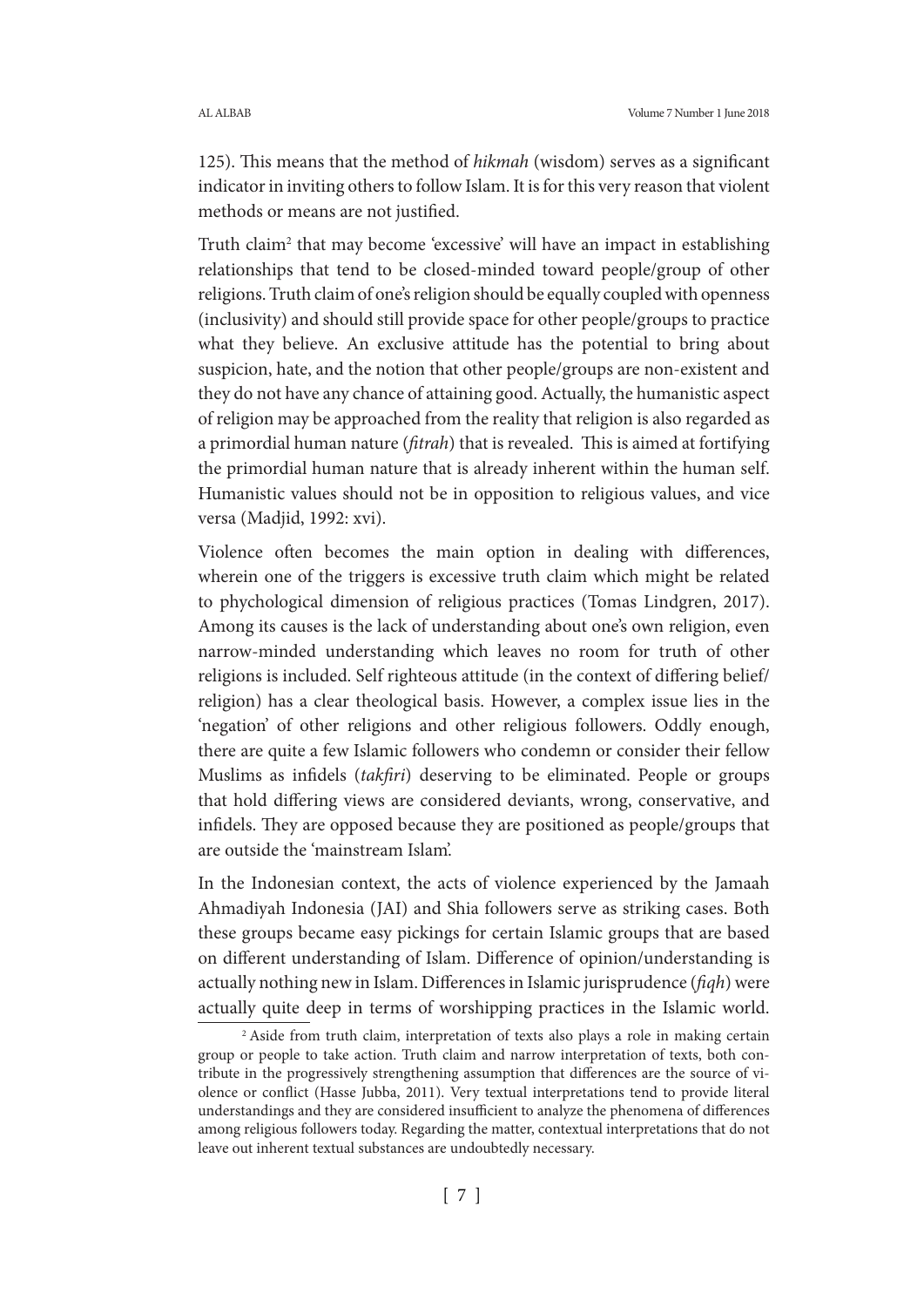125). This means that the method of *hikmah* (wisdom) serves as a significant indicator in inviting others to follow Islam. It is for this very reason that violent methods or means are not justified.

Truth claim<sup>2</sup> that may become 'excessive' will have an impact in establishing relationships that tend to be closed-minded toward people/group of other religions. Truth claim of one's religion should be equally coupled with openness (inclusivity) and should still provide space for other people/groups to practice what they believe. An exclusive attitude has the potential to bring about suspicion, hate, and the notion that other people/groups are non-existent and they do not have any chance of attaining good. Actually, the humanistic aspect of religion may be approached from the reality that religion is also regarded as a primordial human nature (*fitrah*) that is revealed. This is aimed at fortifying the primordial human nature that is already inherent within the human self. Humanistic values should not be in opposition to religious values, and vice versa (Madjid, 1992: xvi).

Violence often becomes the main option in dealing with differences, wherein one of the triggers is excessive truth claim which might be related to phychological dimension of religious practices (Tomas Lindgren, 2017). Among its causes is the lack of understanding about one's own religion, even narrow-minded understanding which leaves no room for truth of other religions is included. Self righteous attitude (in the context of differing belief/ religion) has a clear theological basis. However, a complex issue lies in the 'negation' of other religions and other religious followers. Oddly enough, there are quite a few Islamic followers who condemn or consider their fellow Muslims as infidels (*takfiri*) deserving to be eliminated. People or groups that hold differing views are considered deviants, wrong, conservative, and infidels. They are opposed because they are positioned as people/groups that are outside the 'mainstream Islam'.

In the Indonesian context, the acts of violence experienced by the Jamaah Ahmadiyah Indonesia (JAI) and Shia followers serve as striking cases. Both these groups became easy pickings for certain Islamic groups that are based on different understanding of Islam. Difference of opinion/understanding is actually nothing new in Islam. Differences in Islamic jurisprudence (*fiqh*) were actually quite deep in terms of worshipping practices in the Islamic world.

<sup>&</sup>lt;sup>2</sup> Aside from truth claim, interpretation of texts also plays a role in making certain group or people to take action. Truth claim and narrow interpretation of texts, both contribute in the progressively strengthening assumption that differences are the source of violence or conflict (Hasse Jubba, 2011). Very textual interpretations tend to provide literal understandings and they are considered insufficient to analyze the phenomena of differences among religious followers today. Regarding the matter, contextual interpretations that do not leave out inherent textual substances are undoubtedly necessary.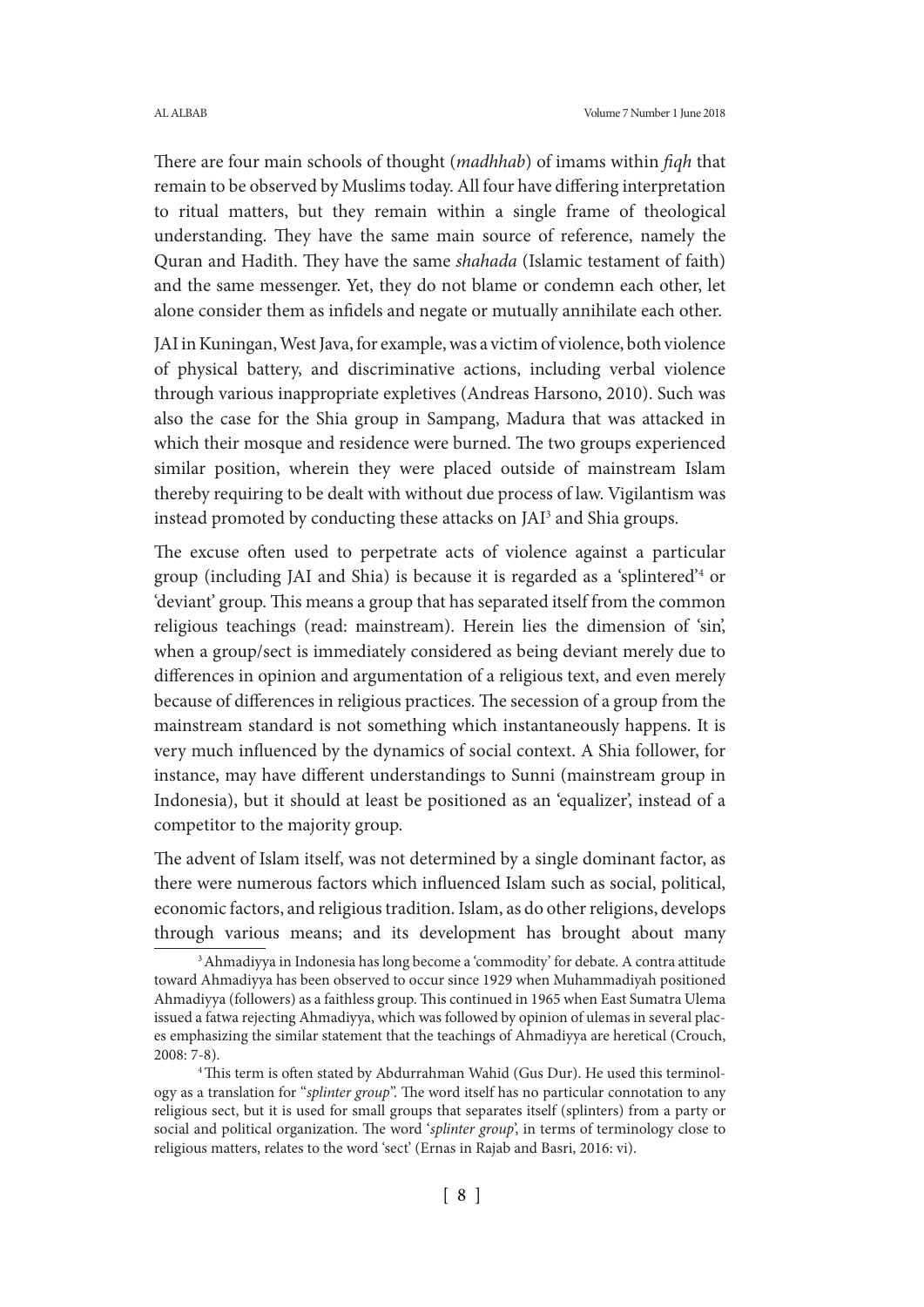There are four main schools of thought (*madhhab*) of imams within *fiqh* that remain to be observed by Muslims today. All four have differing interpretation to ritual matters, but they remain within a single frame of theological understanding. They have the same main source of reference, namely the Quran and Hadith. They have the same *shahada* (Islamic testament of faith) and the same messenger. Yet, they do not blame or condemn each other, let alone consider them as infidels and negate or mutually annihilate each other.

JAI in Kuningan, West Java, for example, was a victim of violence, both violence of physical battery, and discriminative actions, including verbal violence through various inappropriate expletives (Andreas Harsono, 2010). Such was also the case for the Shia group in Sampang, Madura that was attacked in which their mosque and residence were burned. The two groups experienced similar position, wherein they were placed outside of mainstream Islam thereby requiring to be dealt with without due process of law. Vigilantism was instead promoted by conducting these attacks on JAI<sup>3</sup> and Shia groups.

The excuse often used to perpetrate acts of violence against a particular group (including JAI and Shia) is because it is regarded as a 'splintered'4 or 'deviant' group. This means a group that has separated itself from the common religious teachings (read: mainstream). Herein lies the dimension of 'sin', when a group/sect is immediately considered as being deviant merely due to differences in opinion and argumentation of a religious text, and even merely because of differences in religious practices. The secession of a group from the mainstream standard is not something which instantaneously happens. It is very much influenced by the dynamics of social context. A Shia follower, for instance, may have different understandings to Sunni (mainstream group in Indonesia), but it should at least be positioned as an 'equalizer', instead of a competitor to the majority group.

The advent of Islam itself, was not determined by a single dominant factor, as there were numerous factors which influenced Islam such as social, political, economic factors, and religious tradition. Islam, as do other religions, develops through various means; and its development has brought about many

<sup>3</sup> Ahmadiyya in Indonesia has long become a 'commodity' for debate. A contra attitude toward Ahmadiyya has been observed to occur since 1929 when Muhammadiyah positioned Ahmadiyya (followers) as a faithless group. This continued in 1965 when East Sumatra Ulema issued a fatwa rejecting Ahmadiyya, which was followed by opinion of ulemas in several places emphasizing the similar statement that the teachings of Ahmadiyya are heretical (Crouch, 2008: 7-8).

<sup>&</sup>lt;sup>4</sup> This term is often stated by Abdurrahman Wahid (Gus Dur). He used this terminology as a translation for "*splinter group*". The word itself has no particular connotation to any religious sect, but it is used for small groups that separates itself (splinters) from a party or social and political organization. The word '*splinter group*', in terms of terminology close to religious matters, relates to the word 'sect' (Ernas in Rajab and Basri, 2016: vi).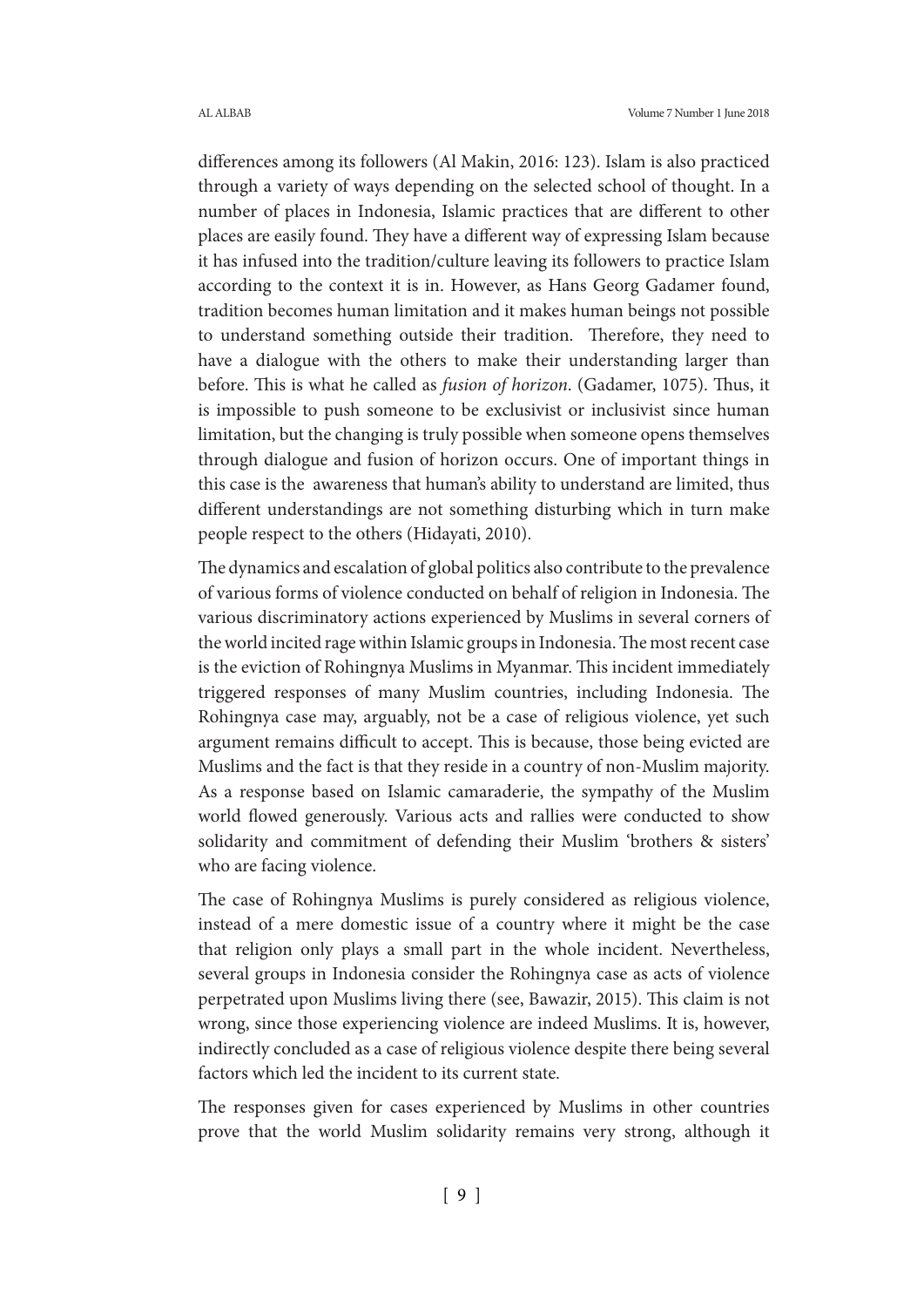differences among its followers (Al Makin, 2016: 123). Islam is also practiced through a variety of ways depending on the selected school of thought. In a number of places in Indonesia, Islamic practices that are different to other places are easily found. They have a different way of expressing Islam because it has infused into the tradition/culture leaving its followers to practice Islam according to the context it is in. However, as Hans Georg Gadamer found, tradition becomes human limitation and it makes human beings not possible to understand something outside their tradition. Therefore, they need to have a dialogue with the others to make their understanding larger than before. This is what he called as *fusion of horizon*. (Gadamer, 1075). Thus, it is impossible to push someone to be exclusivist or inclusivist since human limitation, but the changing is truly possible when someone opens themselves through dialogue and fusion of horizon occurs. One of important things in this case is the awareness that human's ability to understand are limited, thus different understandings are not something disturbing which in turn make people respect to the others (Hidayati, 2010).

The dynamics and escalation of global politics also contribute to the prevalence of various forms of violence conducted on behalf of religion in Indonesia. The various discriminatory actions experienced by Muslims in several corners of the world incited rage within Islamic groups in Indonesia. The most recent case is the eviction of Rohingnya Muslims in Myanmar. This incident immediately triggered responses of many Muslim countries, including Indonesia. The Rohingnya case may, arguably, not be a case of religious violence, yet such argument remains difficult to accept. This is because, those being evicted are Muslims and the fact is that they reside in a country of non-Muslim majority. As a response based on Islamic camaraderie, the sympathy of the Muslim world flowed generously. Various acts and rallies were conducted to show solidarity and commitment of defending their Muslim 'brothers & sisters' who are facing violence.

The case of Rohingnya Muslims is purely considered as religious violence, instead of a mere domestic issue of a country where it might be the case that religion only plays a small part in the whole incident. Nevertheless, several groups in Indonesia consider the Rohingnya case as acts of violence perpetrated upon Muslims living there (see, Bawazir, 2015). This claim is not wrong, since those experiencing violence are indeed Muslims. It is, however, indirectly concluded as a case of religious violence despite there being several factors which led the incident to its current state.

The responses given for cases experienced by Muslims in other countries prove that the world Muslim solidarity remains very strong, although it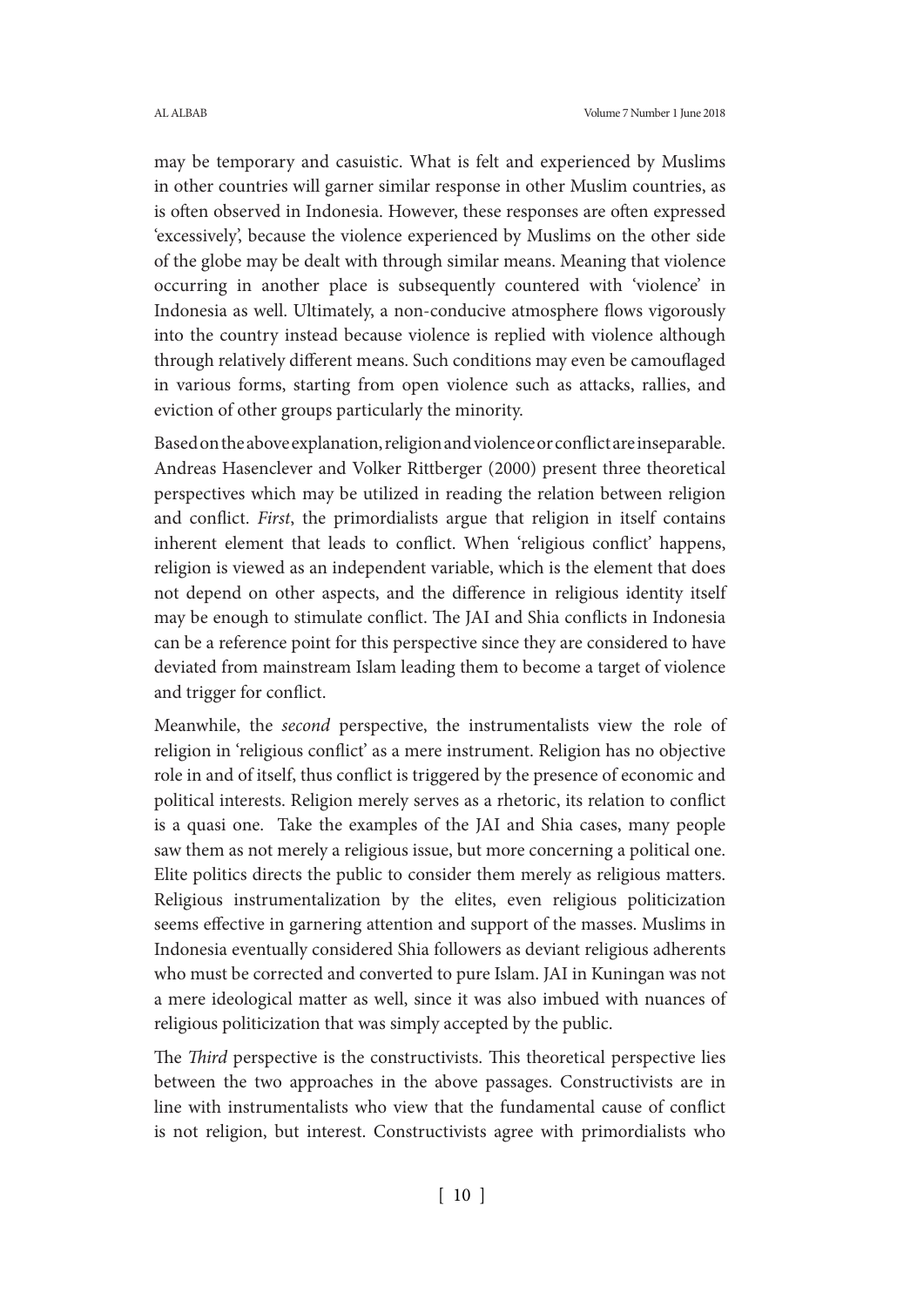may be temporary and casuistic. What is felt and experienced by Muslims in other countries will garner similar response in other Muslim countries, as is often observed in Indonesia. However, these responses are often expressed 'excessively', because the violence experienced by Muslims on the other side of the globe may be dealt with through similar means. Meaning that violence occurring in another place is subsequently countered with 'violence' in Indonesia as well. Ultimately, a non-conducive atmosphere flows vigorously into the country instead because violence is replied with violence although through relatively different means. Such conditions may even be camouflaged in various forms, starting from open violence such as attacks, rallies, and eviction of other groups particularly the minority.

Based on the above explanation, religion and violence or conflict are inseparable. Andreas Hasenclever and Volker Rittberger (2000) present three theoretical perspectives which may be utilized in reading the relation between religion and conflict. *First*, the primordialists argue that religion in itself contains inherent element that leads to conflict. When 'religious conflict' happens, religion is viewed as an independent variable, which is the element that does not depend on other aspects, and the difference in religious identity itself may be enough to stimulate conflict. The JAI and Shia conflicts in Indonesia can be a reference point for this perspective since they are considered to have deviated from mainstream Islam leading them to become a target of violence and trigger for conflict.

Meanwhile, the *second* perspective, the instrumentalists view the role of religion in 'religious conflict' as a mere instrument. Religion has no objective role in and of itself, thus conflict is triggered by the presence of economic and political interests. Religion merely serves as a rhetoric, its relation to conflict is a quasi one. Take the examples of the JAI and Shia cases, many people saw them as not merely a religious issue, but more concerning a political one. Elite politics directs the public to consider them merely as religious matters. Religious instrumentalization by the elites, even religious politicization seems effective in garnering attention and support of the masses. Muslims in Indonesia eventually considered Shia followers as deviant religious adherents who must be corrected and converted to pure Islam. JAI in Kuningan was not a mere ideological matter as well, since it was also imbued with nuances of religious politicization that was simply accepted by the public.

The *Third* perspective is the constructivists. This theoretical perspective lies between the two approaches in the above passages. Constructivists are in line with instrumentalists who view that the fundamental cause of conflict is not religion, but interest. Constructivists agree with primordialists who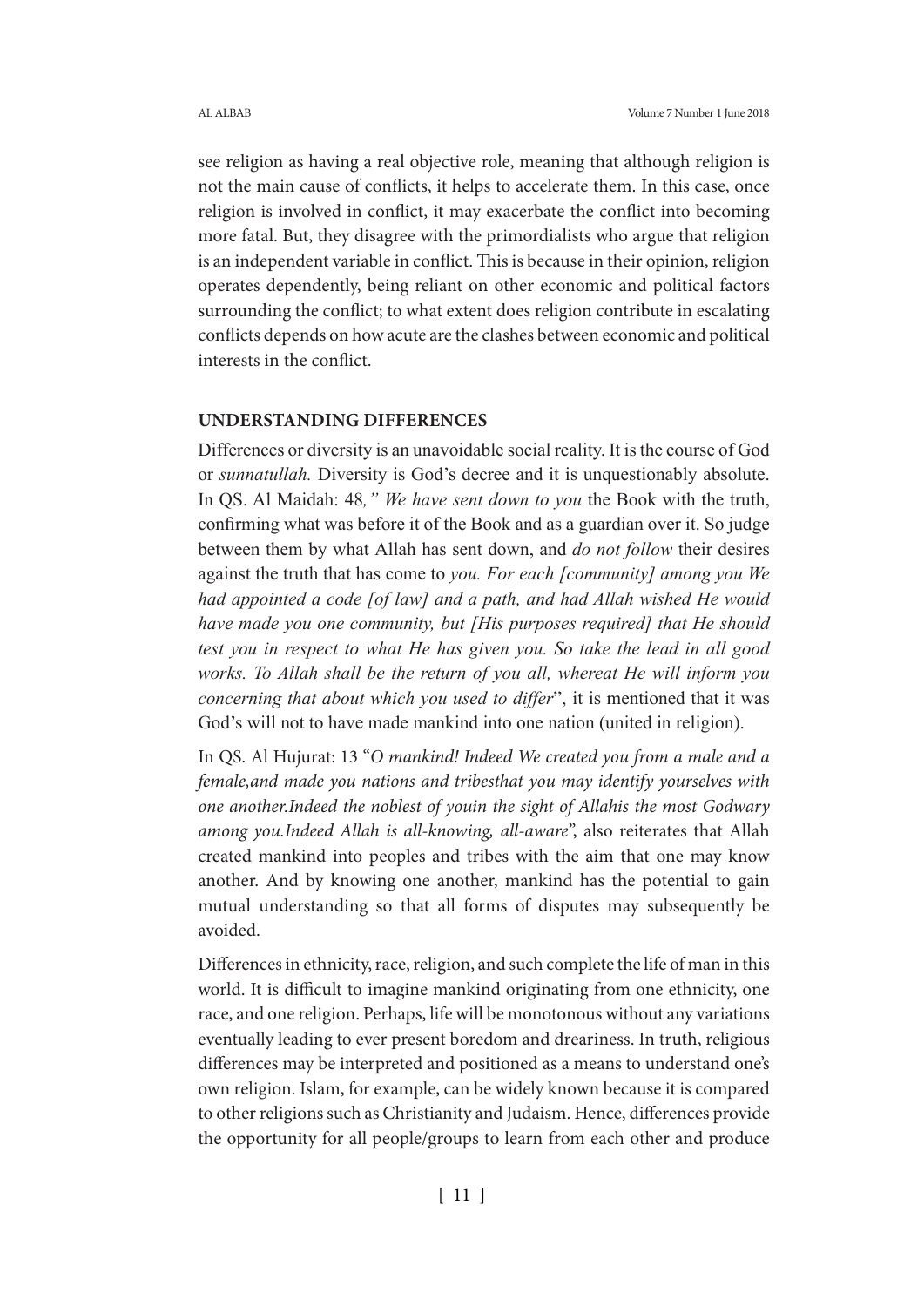see religion as having a real objective role, meaning that although religion is not the main cause of conflicts, it helps to accelerate them. In this case, once religion is involved in conflict, it may exacerbate the conflict into becoming more fatal. But, they disagree with the primordialists who argue that religion is an independent variable in conflict. This is because in their opinion, religion operates dependently, being reliant on other economic and political factors surrounding the conflict; to what extent does religion contribute in escalating conflicts depends on how acute are the clashes between economic and political interests in the conflict.

## **UNDERSTANDING DIFFERENCES**

Differences or diversity is an unavoidable social reality. It is the course of God or *sunnatullah.* Diversity is God's decree and it is unquestionably absolute. In QS. Al Maidah: 48*," We have sent down to you* the Book with the truth, confirming what was before it of the Book and as a guardian over it. So judge between them by what Allah has sent down, and *do not follow* their desires against the truth that has come to *you. For each [community] among you We had appointed a code [of law] and a path, and had Allah wished He would have made you one community, but [His purposes required] that He should test you in respect to what He has given you. So take the lead in all good works. To Allah shall be the return of you all, whereat He will inform you concerning that about which you used to differ*", it is mentioned that it was God's will not to have made mankind into one nation (united in religion).

In QS. Al Hujurat: 13 "*O mankind! Indeed We created you from a male and a female,and made you nations and tribesthat you may identify yourselves with one another.Indeed the noblest of youin the sight of Allahis the most Godwary among you.Indeed Allah is all-knowing, all-aware*", also reiterates that Allah created mankind into peoples and tribes with the aim that one may know another. And by knowing one another, mankind has the potential to gain mutual understanding so that all forms of disputes may subsequently be avoided.

Differences in ethnicity, race, religion, and such complete the life of man in this world. It is difficult to imagine mankind originating from one ethnicity, one race, and one religion. Perhaps, life will be monotonous without any variations eventually leading to ever present boredom and dreariness. In truth, religious differences may be interpreted and positioned as a means to understand one's own religion. Islam, for example, can be widely known because it is compared to other religions such as Christianity and Judaism. Hence, differences provide the opportunity for all people/groups to learn from each other and produce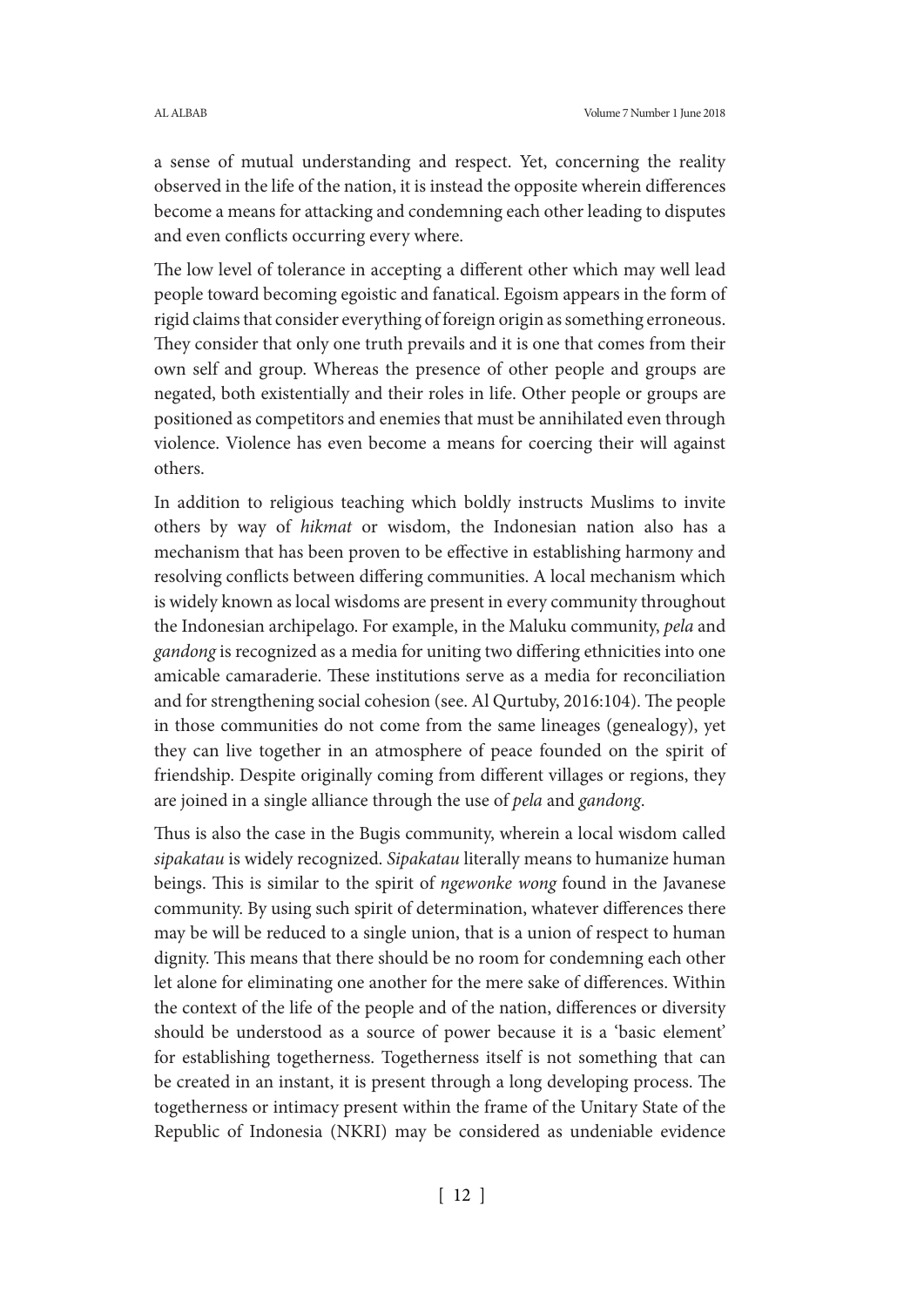a sense of mutual understanding and respect. Yet, concerning the reality observed in the life of the nation, it is instead the opposite wherein differences become a means for attacking and condemning each other leading to disputes and even conflicts occurring every where.

The low level of tolerance in accepting a different other which may well lead people toward becoming egoistic and fanatical. Egoism appears in the form of rigid claims that consider everything of foreign origin as something erroneous. They consider that only one truth prevails and it is one that comes from their own self and group. Whereas the presence of other people and groups are negated, both existentially and their roles in life. Other people or groups are positioned as competitors and enemies that must be annihilated even through violence. Violence has even become a means for coercing their will against others.

In addition to religious teaching which boldly instructs Muslims to invite others by way of *hikmat* or wisdom, the Indonesian nation also has a mechanism that has been proven to be effective in establishing harmony and resolving conflicts between differing communities. A local mechanism which is widely known as local wisdoms are present in every community throughout the Indonesian archipelago. For example, in the Maluku community, *pela* and *gandong* is recognized as a media for uniting two differing ethnicities into one amicable camaraderie. These institutions serve as a media for reconciliation and for strengthening social cohesion (see. Al Qurtuby, 2016:104). The people in those communities do not come from the same lineages (genealogy), yet they can live together in an atmosphere of peace founded on the spirit of friendship. Despite originally coming from different villages or regions, they are joined in a single alliance through the use of *pela* and *gandong*.

Thus is also the case in the Bugis community, wherein a local wisdom called *sipakatau* is widely recognized. *Sipakatau* literally means to humanize human beings. This is similar to the spirit of *ngewonke wong* found in the Javanese community. By using such spirit of determination, whatever differences there may be will be reduced to a single union, that is a union of respect to human dignity. This means that there should be no room for condemning each other let alone for eliminating one another for the mere sake of differences. Within the context of the life of the people and of the nation, differences or diversity should be understood as a source of power because it is a 'basic element' for establishing togetherness. Togetherness itself is not something that can be created in an instant, it is present through a long developing process. The togetherness or intimacy present within the frame of the Unitary State of the Republic of Indonesia (NKRI) may be considered as undeniable evidence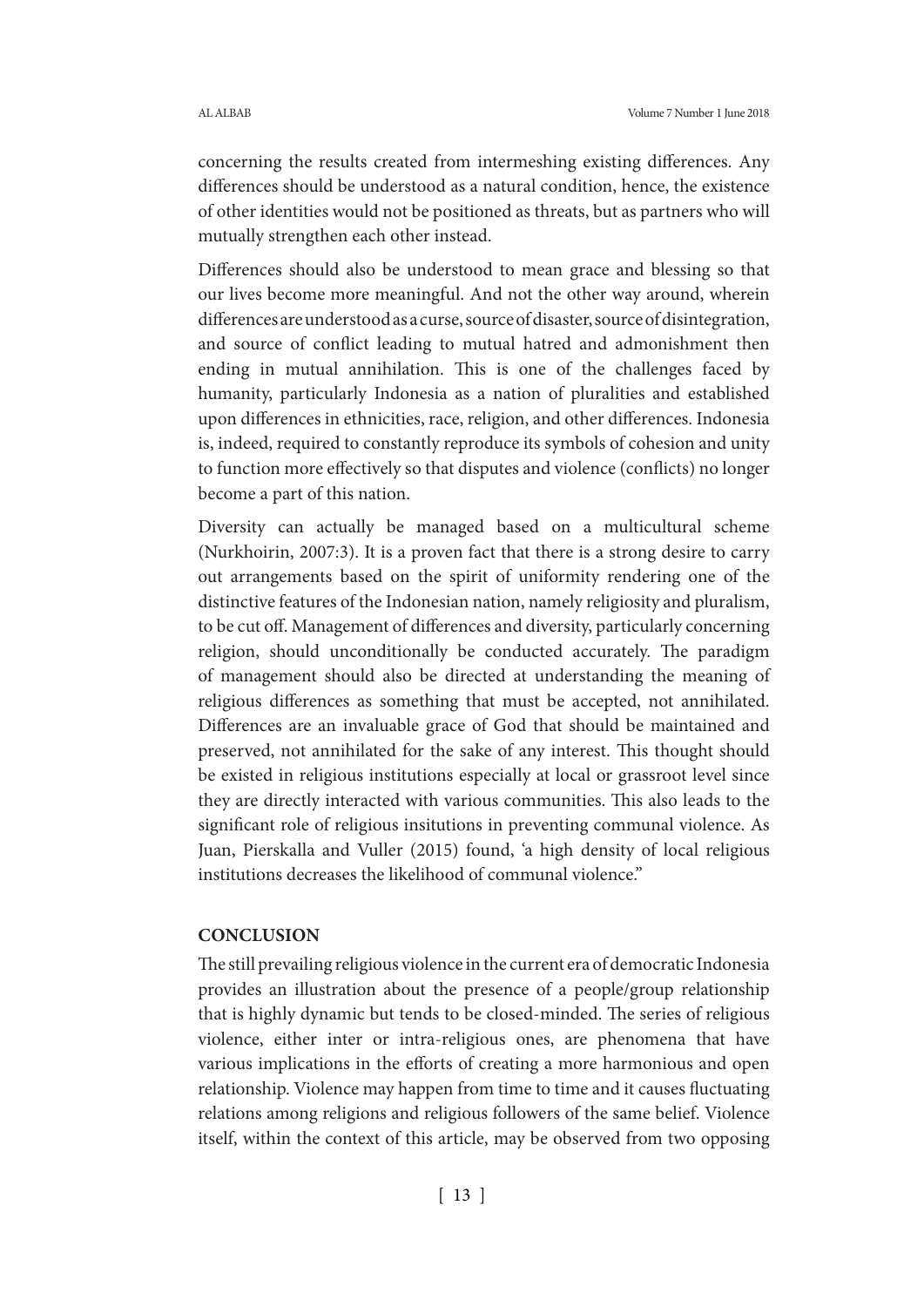concerning the results created from intermeshing existing differences. Any differences should be understood as a natural condition, hence, the existence of other identities would not be positioned as threats, but as partners who will mutually strengthen each other instead.

Differences should also be understood to mean grace and blessing so that our lives become more meaningful. And not the other way around, wherein differences are understood as a curse, source of disaster, source of disintegration, and source of conflict leading to mutual hatred and admonishment then ending in mutual annihilation. This is one of the challenges faced by humanity, particularly Indonesia as a nation of pluralities and established upon differences in ethnicities, race, religion, and other differences. Indonesia is, indeed, required to constantly reproduce its symbols of cohesion and unity to function more effectively so that disputes and violence (conflicts) no longer become a part of this nation.

Diversity can actually be managed based on a multicultural scheme (Nurkhoirin, 2007:3). It is a proven fact that there is a strong desire to carry out arrangements based on the spirit of uniformity rendering one of the distinctive features of the Indonesian nation, namely religiosity and pluralism, to be cut off. Management of differences and diversity, particularly concerning religion, should unconditionally be conducted accurately. The paradigm of management should also be directed at understanding the meaning of religious differences as something that must be accepted, not annihilated. Differences are an invaluable grace of God that should be maintained and preserved, not annihilated for the sake of any interest. This thought should be existed in religious institutions especially at local or grassroot level since they are directly interacted with various communities. This also leads to the significant role of religious insitutions in preventing communal violence. As Juan, Pierskalla and Vuller (2015) found, 'a high density of local religious institutions decreases the likelihood of communal violence."

# **CONCLUSION**

The still prevailing religious violence in the current era of democratic Indonesia provides an illustration about the presence of a people/group relationship that is highly dynamic but tends to be closed-minded. The series of religious violence, either inter or intra-religious ones, are phenomena that have various implications in the efforts of creating a more harmonious and open relationship. Violence may happen from time to time and it causes fluctuating relations among religions and religious followers of the same belief. Violence itself, within the context of this article, may be observed from two opposing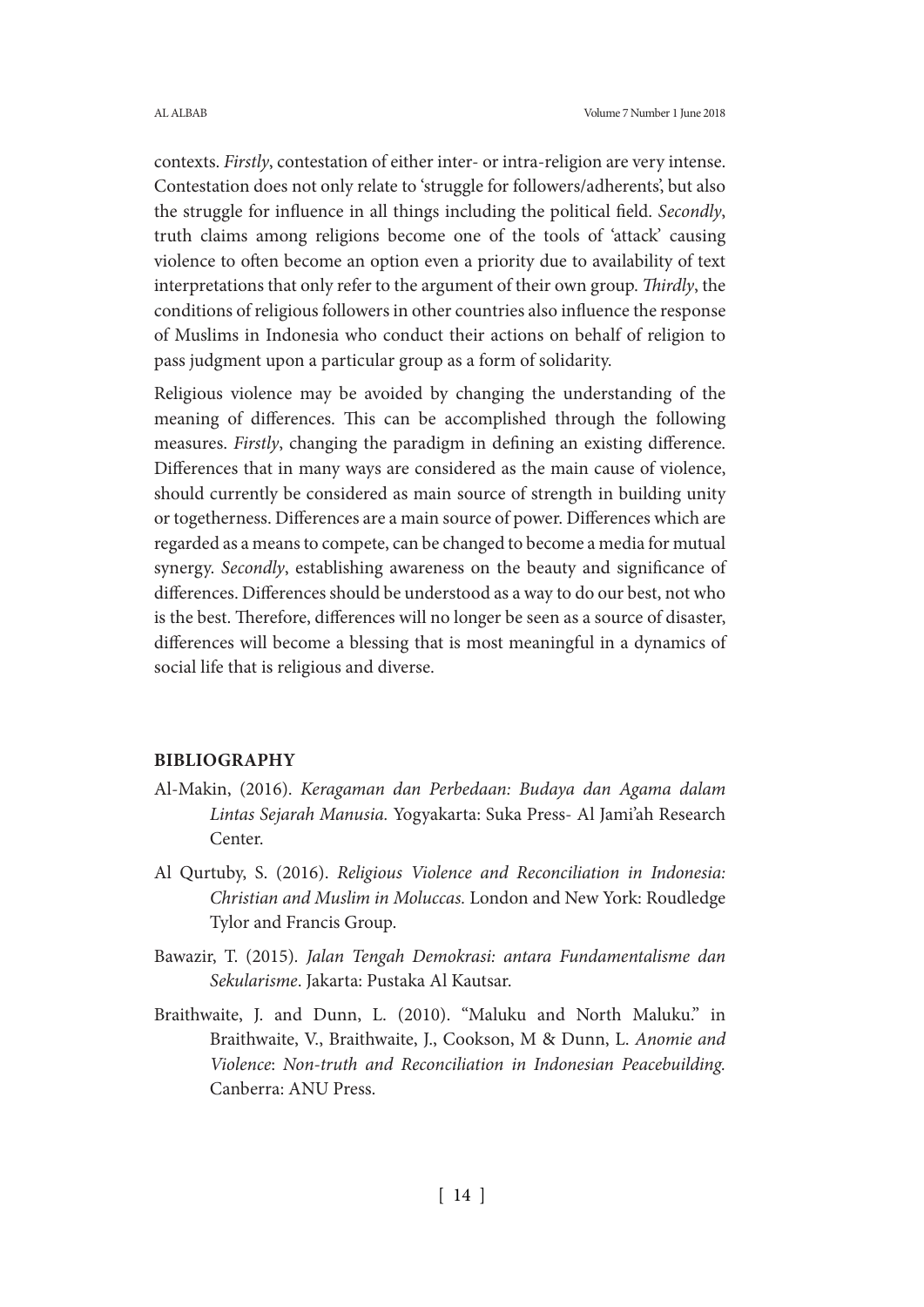contexts. *Firstly*, contestation of either inter- or intra-religion are very intense. Contestation does not only relate to 'struggle for followers/adherents', but also the struggle for influence in all things including the political field. *Secondly*, truth claims among religions become one of the tools of 'attack' causing violence to often become an option even a priority due to availability of text interpretations that only refer to the argument of their own group. *Thirdly*, the conditions of religious followers in other countries also influence the response of Muslims in Indonesia who conduct their actions on behalf of religion to pass judgment upon a particular group as a form of solidarity.

Religious violence may be avoided by changing the understanding of the meaning of differences. This can be accomplished through the following measures. *Firstly*, changing the paradigm in defining an existing difference. Differences that in many ways are considered as the main cause of violence, should currently be considered as main source of strength in building unity or togetherness. Differences are a main source of power. Differences which are regarded as a means to compete, can be changed to become a media for mutual synergy. *Secondly*, establishing awareness on the beauty and significance of differences. Differences should be understood as a way to do our best, not who is the best. Therefore, differences will no longer be seen as a source of disaster, differences will become a blessing that is most meaningful in a dynamics of social life that is religious and diverse.

## **BIBLIOGRAPHY**

- Al-Makin, (2016). *Keragaman dan Perbedaan: Budaya dan Agama dalam Lintas Sejarah Manusia.* Yogyakarta: Suka Press- Al Jami'ah Research Center.
- Al Qurtuby, S. (2016). *Religious Violence and Reconciliation in Indonesia: Christian and Muslim in Moluccas.* London and New York: Roudledge Tylor and Francis Group.
- Bawazir, T. (2015)*. Jalan Tengah Demokrasi: antara Fundamentalisme dan Sekularisme*. Jakarta: Pustaka Al Kautsar.
- Braithwaite, J. and Dunn, L. (2010). "Maluku and North Maluku." in Braithwaite, V., Braithwaite, J., Cookson, M & Dunn, L. *Anomie and Violence*: *Non-truth and Reconciliation in Indonesian Peacebuilding.*  Canberra: ANU Press.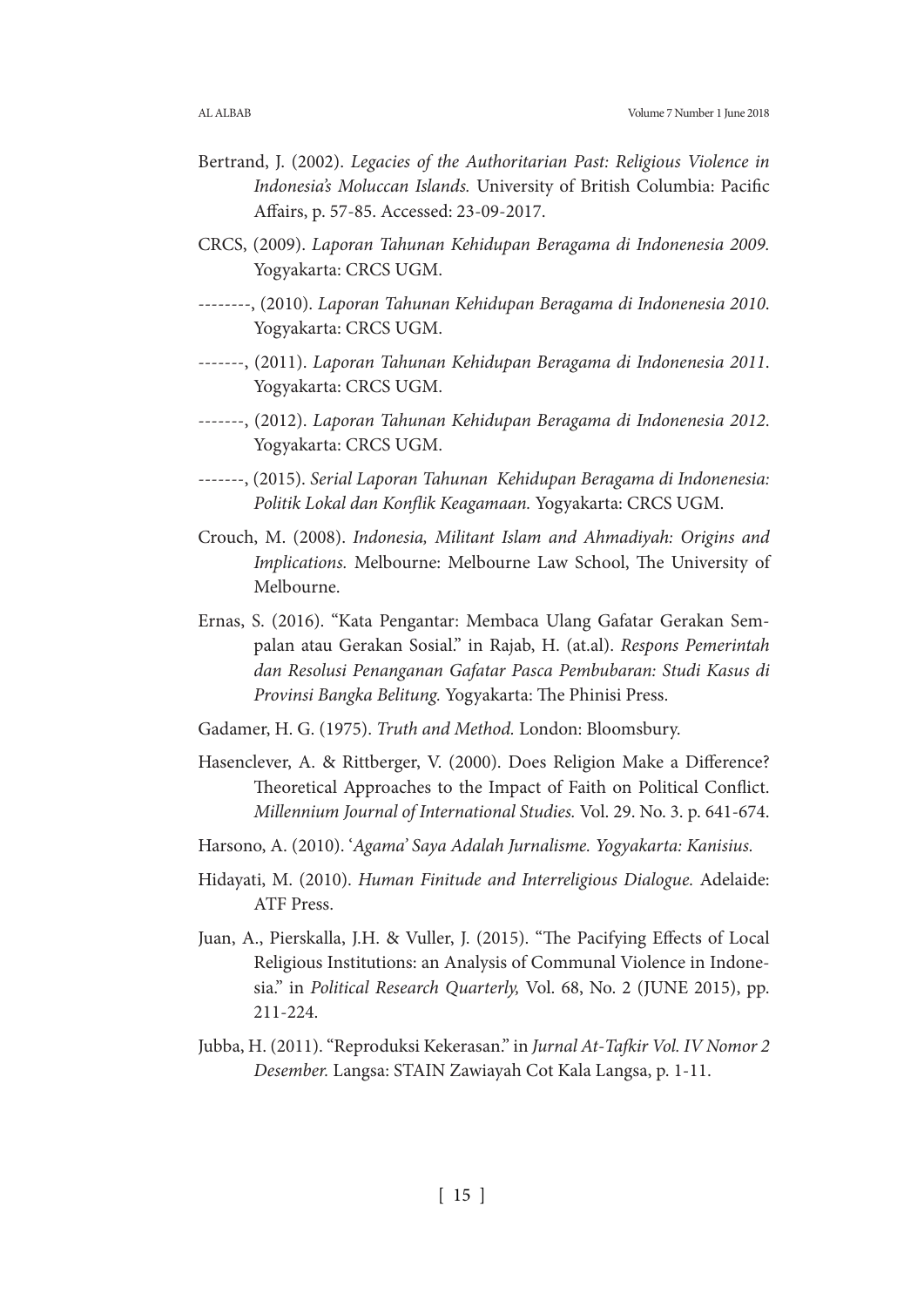- Bertrand, J. (2002). *Legacies of the Authoritarian Past: Religious Violence in Indonesia's Moluccan Islands.* University of British Columbia: Pacific Affairs, p. 57-85. Accessed: 23-09-2017.
- CRCS, (2009). *Laporan Tahunan Kehidupan Beragama di Indonenesia 2009.* Yogyakarta: CRCS UGM.
- --------, (2010). *Laporan Tahunan Kehidupan Beragama di Indonenesia 2010*. Yogyakarta: CRCS UGM.
- -------, (2011). *Laporan Tahunan Kehidupan Beragama di Indonenesia 2011*. Yogyakarta: CRCS UGM.
- -------, (2012). *Laporan Tahunan Kehidupan Beragama di Indonenesia 2012*. Yogyakarta: CRCS UGM.
- -------, (2015). *Serial Laporan Tahunan Kehidupan Beragama di Indonenesia: Politik Lokal dan Konflik Keagamaan.* Yogyakarta: CRCS UGM.
- Crouch, M. (2008). *Indonesia, Militant Islam and Ahmadiyah: Origins and Implications.* Melbourne: Melbourne Law School, The University of Melbourne.
- Ernas, S. (2016). "Kata Pengantar: Membaca Ulang Gafatar Gerakan Sempalan atau Gerakan Sosial." in Rajab, H. (at.al). *Respons Pemerintah dan Resolusi Penanganan Gafatar Pasca Pembubaran: Studi Kasus di Provinsi Bangka Belitung.* Yogyakarta: The Phinisi Press.
- Gadamer, H. G. (1975). *Truth and Method.* London: Bloomsbury.
- Hasenclever, A. & Rittberger, V. (2000). Does Religion Make a Difference? Theoretical Approaches to the Impact of Faith on Political Conflict. *Millennium Journal of International Studies.* Vol. 29. No. 3. p. 641-674.
- Harsono, A. (2010). '*Agama' Saya Adalah Jurnalisme. Yogyakarta: Kanisius.*
- Hidayati, M. (2010). *Human Finitude and Interreligious Dialogue.* Adelaide: ATF Press.
- Juan, A., Pierskalla, J.H. & Vuller, J. (2015). "The Pacifying Effects of Local Religious Institutions: an Analysis of Communal Violence in Indonesia." in *Political Research Quarterly,* Vol. 68, No. 2 (JUNE 2015), pp. 211-224.
- Jubba, H. (2011). "Reproduksi Kekerasan." in *Jurnal At-Tafkir Vol. IV Nomor 2 Desember.* Langsa: STAIN Zawiayah Cot Kala Langsa, p. 1-11.